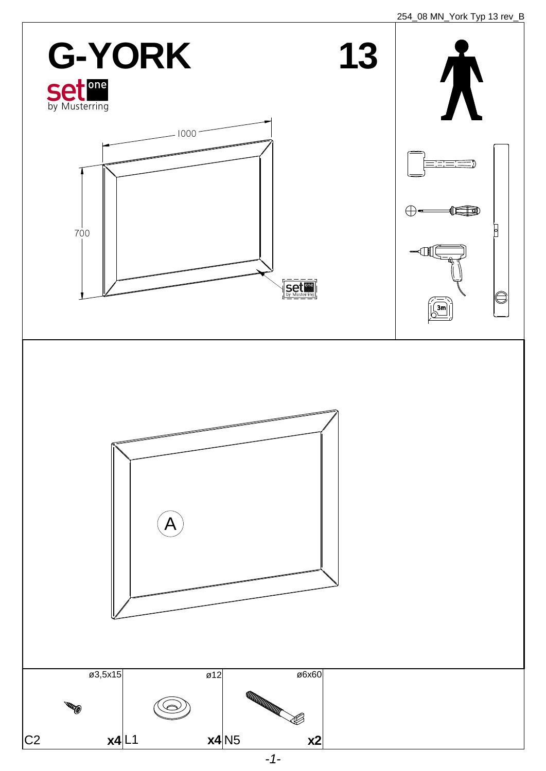254\_08 MN\_York Typ 13 rev\_B

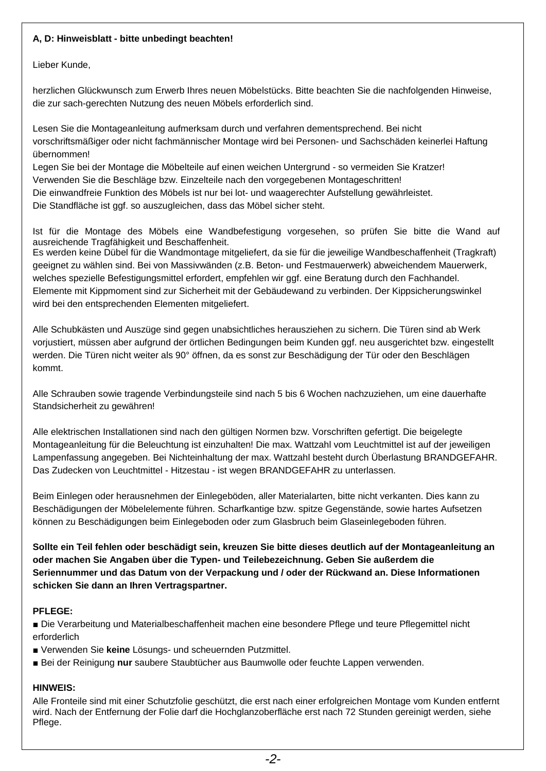#### **A, D: Hinweisblatt - bitte unbedingt beachten!**

Lieber Kunde,

herzlichen Glückwunsch zum Erwerb Ihres neuen Möbelstücks. Bitte beachten Sie die nachfolgenden Hinweise, die zur sach-gerechten Nutzung des neuen Möbels erforderlich sind.

Lesen Sie die Montageanleitung aufmerksam durch und verfahren dementsprechend. Bei nicht vorschriftsmäßiger oder nicht fachmännischer Montage wird bei Personen- und Sachschäden keinerlei Haftung übernommen!

Legen Sie bei der Montage die Möbelteile auf einen weichen Untergrund - so vermeiden Sie Kratzer! Verwenden Sie die Beschläge bzw. Einzelteile nach den vorgegebenen Montageschritten! Die einwandfreie Funktion des Möbels ist nur bei lot- und waagerechter Aufstellung gewährleistet. Die Standfläche ist ggf. so auszugleichen, dass das Möbel sicher steht.

Ist für die Montage des Möbels eine Wandbefestigung vorgesehen, so prüfen Sie bitte die Wand auf ausreichende Tragfähigkeit und Beschaffenheit.

Es werden keine Dübel für die Wandmontage mitgeliefert, da sie für die jeweilige Wandbeschaffenheit (Tragkraft) geeignet zu wählen sind. Bei von Massivwänden (z.B. Beton- und Festmauerwerk) abweichendem Mauerwerk, welches spezielle Befestigungsmittel erfordert, empfehlen wir ggf. eine Beratung durch den Fachhandel. Elemente mit Kippmoment sind zur Sicherheit mit der Gebäudewand zu verbinden. Der Kippsicherungswinkel wird bei den entsprechenden Elementen mitgeliefert.

■ Die Verarbeitung und Materialbeschaffenheit machen eine besondere Pflege und teure Pflegemittel nicht erforderlich

Alle Schubkästen und Auszüge sind gegen unabsichtliches herausziehen zu sichern. Die Türen sind ab Werk vorjustiert, müssen aber aufgrund der örtlichen Bedingungen beim Kunden ggf. neu ausgerichtet bzw. eingestellt werden. Die Türen nicht weiter als 90° öffnen, da es sonst zur Beschädigung der Tür oder den Beschlägen kommt.

Alle Schrauben sowie tragende Verbindungsteile sind nach 5 bis 6 Wochen nachzuziehen, um eine dauerhafte Standsicherheit zu gewähren!

Alle elektrischen Installationen sind nach den gültigen Normen bzw. Vorschriften gefertigt. Die beigelegte Montageanleitung für die Beleuchtung ist einzuhalten! Die max. Wattzahl vom Leuchtmittel ist auf der jeweiligen Lampenfassung angegeben. Bei Nichteinhaltung der max. Wattzahl besteht durch Überlastung BRANDGEFAHR. Das Zudecken von Leuchtmittel - Hitzestau - ist wegen BRANDGEFAHR zu unterlassen.

Beim Einlegen oder herausnehmen der Einlegeböden, aller Materialarten, bitte nicht verkanten. Dies kann zu Beschädigungen der Möbelelemente führen. Scharfkantige bzw. spitze Gegenstände, sowie hartes Aufsetzen können zu Beschädigungen beim Einlegeboden oder zum Glasbruch beim Glaseinlegeboden führen.

**Sollte ein Teil fehlen oder beschädigt sein, kreuzen Sie bitte dieses deutlich auf der Montageanleitung an oder machen Sie Angaben über die Typen- und Teilebezeichnung. Geben Sie außerdem die Seriennummer und das Datum von der Verpackung und / oder der Rückwand an. Diese Informationen schicken Sie dann an Ihren Vertragspartner.** 

#### **PFLEGE:**

■ Verwenden Sie **keine** Lösungs- und scheuernden Putzmittel.

■ Bei der Reinigung nur saubere Staubtücher aus Baumwolle oder feuchte Lappen verwenden.

### **HINWEIS:**

Alle Fronteile sind mit einer Schutzfolie geschützt, die erst nach einer erfolgreichen Montage vom Kunden entfernt wird. Nach der Entfernung der Folie darf die Hochglanzoberfläche erst nach 72 Stunden gereinigt werden, siehe Pflege.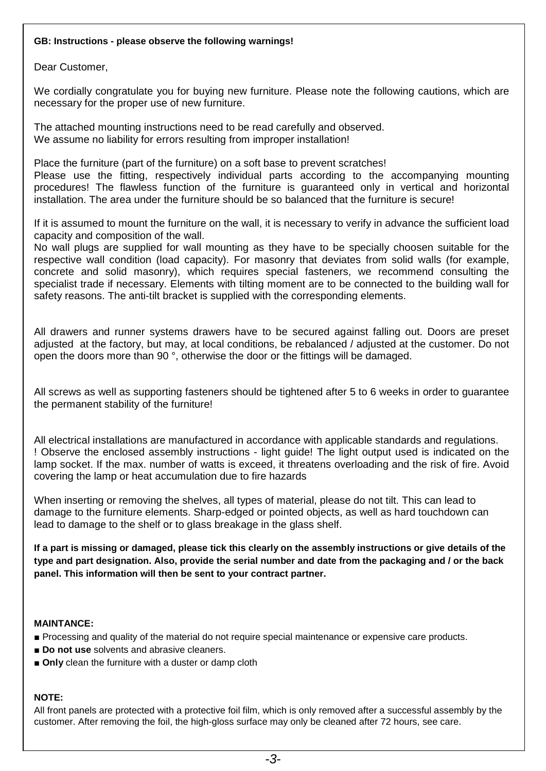#### **GB: Instructions - please observe the following warnings!**

Dear Customer,

We cordially congratulate you for buying new furniture. Please note the following cautions, which are necessary for the proper use of new furniture.

The attached mounting instructions need to be read carefully and observed. We assume no liability for errors resulting from improper installation!

Place the furniture (part of the furniture) on a soft base to prevent scratches!

Please use the fitting, respectively individual parts according to the accompanying mounting procedures! The flawless function of the furniture is guaranteed only in vertical and horizontal installation. The area under the furniture should be so balanced that the furniture is secure!

If it is assumed to mount the furniture on the wall, it is necessary to verify in advance the sufficient load capacity and composition of the wall.

No wall plugs are supplied for wall mounting as they have to be specially choosen suitable for the respective wall condition (load capacity). For masonry that deviates from solid walls (for example, concrete and solid masonry), which requires special fasteners, we recommend consulting the specialist trade if necessary. Elements with tilting moment are to be connected to the building wall for safety reasons. The anti-tilt bracket is supplied with the corresponding elements.

All drawers and runner systems drawers have to be secured against falling out. Doors are preset adjusted at the factory, but may, at local conditions, be rebalanced / adjusted at the customer. Do not open the doors more than 90 °, otherwise the door or the fittings will be damaged.

All screws as well as supporting fasteners should be tightened after 5 to 6 weeks in order to guarantee the permanent stability of the furniture!

All electrical installations are manufactured in accordance with applicable standards and regulations. ! Observe the enclosed assembly instructions - light guide! The light output used is indicated on the lamp socket. If the max. number of watts is exceed, it threatens overloading and the risk of fire. Avoid covering the lamp or heat accumulation due to fire hazards

When inserting or removing the shelves, all types of material, please do not tilt. This can lead to damage to the furniture elements. Sharp-edged or pointed objects, as well as hard touchdown can lead to damage to the shelf or to glass breakage in the glass shelf.

**If a part is missing or damaged, please tick this clearly on the assembly instructions or give details of the type and part designation. Also, provide the serial number and date from the packaging and / or the back panel. This information will then be sent to your contract partner.** 

### **MAINTANCE:**

- Processing and quality of the material do not require special maintenance or expensive care products.
- **Do not use** solvents and abrasive cleaners.
- **Only** clean the furniture with a duster or damp cloth

### **NOTE:**

All front panels are protected with a protective foil film, which is only removed after a successful assembly by the customer. After removing the foil, the high-gloss surface may only be cleaned after 72 hours, see care.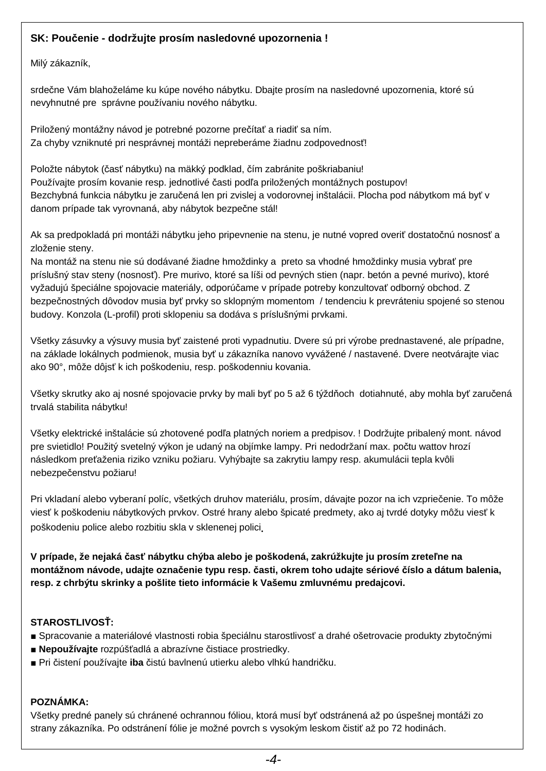## **SK: Poučenie - dodržujte prosím nasledovné upozornenia !**

Milý zákazník,

srdečne Vám blahoželáme ku kúpe nového nábytku. Dbajte prosím na nasledovné upozornenia, ktoré sú nevyhnutné pre správne používaniu nového nábytku.

Priložený montážny návod je potrebné pozorne prečítať a riadiť sa ním. Za chyby vzniknuté pri nesprávnej montáži nepreberáme žiadnu zodpovednosť!

Položte nábytok (časť nábytku) na mäkký podklad, čím zabránite poškriabaniu! Používajte prosím kovanie resp. jednotlivé časti podľa priložených montážnych postupov! Bezchybná funkcia nábytku je zaručená len pri zvislej a vodorovnej inštalácii. Plocha pod nábytkom má byť v danom prípade tak vyrovnaná, aby nábytok bezpečne stál!

Ak sa predpokladá pri montáži nábytku jeho pripevnenie na stenu, je nutné vopred overiť dostatočnú nosnosť a zloženie steny.

Na montáž na stenu nie sú dodávané žiadne hmoždinky a preto sa vhodné hmoždinky musia vybrať pre príslušný stav steny (nosnosť). Pre murivo, ktoré sa líši od pevných stien (napr. betón a pevné murivo), ktoré vyžadujú špeciálne spojovacie materiály, odporúčame v prípade potreby konzultovať odborný obchod. Z bezpečnostných dôvodov musia byť prvky so sklopným momentom / tendenciu k prevráteniu spojené so stenou budovy. Konzola (L-profil) proti sklopeniu sa dodáva s príslušnými prvkami.

- Spracovanie a materiálové vlastnosti robia špeciálnu starostlivosť a drahé ošetrovacie produkty zbytočnými
- **■ Nepoužívajte** rozpúšťadlá a abrazívne čistiace prostriedky.
- **■** Pri čistení používajte **iba** čistú bavlnenú utierku alebo vlhkú handričku.

Všetky zásuvky a výsuvy musia byť zaistené proti vypadnutiu. Dvere sú pri výrobe prednastavené, ale prípadne, na základe lokálnych podmienok, musia byť u zákazníka nanovo vyvážené / nastavené. Dvere neotvárajte viac ako 90°, môže dôjsť k ich poškodeniu, resp. poškodenniu kovania.

Všetky skrutky ako aj nosné spojovacie prvky by mali byť po 5 až 6 týždňoch dotiahnuté, aby mohla byť zaručená trvalá stabilita nábytku!

Všetky elektrické inštalácie sú zhotovené podľa platných noriem a predpisov. ! Dodržujte pribalený mont. návod pre svietidlo! Použitý svetelný výkon je udaný na objímke lampy. Pri nedodržaní max. počtu wattov hrozí následkom preťaženia riziko vzniku požiaru. Vyhýbajte sa zakrytiu lampy resp. akumulácii tepla kvôli nebezpečenstvu požiaru!

Pri vkladaní alebo vyberaní políc, všetkých druhov materiálu, prosím, dávajte pozor na ich vzpriečenie. To môže viesť k poškodeniu nábytkových prvkov. Ostré hrany alebo špicaté predmety, ako aj tvrdé dotyky môžu viesť k poškodeniu police alebo rozbitiu skla v sklenenej polici.

**V prípade, že nejaká časť nábytku chýba alebo je poškodená, zakrúžkujte ju prosím zreteľne na montážnom návode, udajte označenie typu resp. časti, okrem toho udajte sériové číslo a dátum balenia, resp. z chrbýtu skrinky a pošlite tieto informácie k Vašemu zmluvnému predajcovi.** 

# **STAROSTLIVOSŤ:**

## **POZNÁMKA:**

Všetky predné panely sú chránené ochrannou fóliou, ktorá musí byť odstránená až po úspešnej montáži zo strany zákazníka. Po odstránení fólie je možné povrch s vysokým leskom čistiť až po 72 hodinách.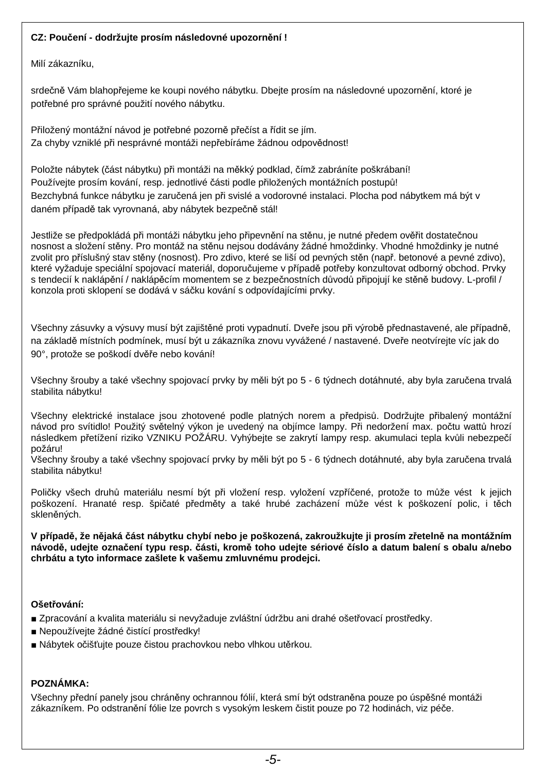### **CZ: Poučení - dodržujte prosím následovné upozornění !**

Milí zákazníku,

srdečně Vám blahopřejeme ke koupi nového nábytku. Dbejte prosím na následovné upozornění, ktoré je potřebné pro správné použití nového nábytku.

Přiložený montážní návod je potřebné pozorně přečíst a řídit se jím. Za chyby vzniklé při nesprávné montáži nepřebíráme žádnou odpovědnost!

Položte nábytek (část nábytku) při montáži na měkký podklad, čímž zabráníte poškrábaní! Používejte prosím kování, resp. jednotlivé části podle přiložených montážních postupů! Bezchybná funkce nábytku je zaručená jen při svislé a vodorovné instalaci. Plocha pod nábytkem má být v daném případě tak vyrovnaná, aby nábytek bezpečně stál!

Jestliže se předpokládá při montáži nábytku jeho připevnění na stěnu, je nutné předem ověřit dostatečnou nosnost a složení stěny. Pro montáž na stěnu nejsou dodávány žádné hmoždinky. Vhodné hmoždinky je nutné zvolit pro příslušný stav stěny (nosnost). Pro zdivo, které se liší od pevných stěn (např. betonové a pevné zdivo), které vyžaduje speciální spojovací materiál, doporučujeme v případě potřeby konzultovat odborný obchod. Prvky s tendecií k naklápění / naklápěcím momentem se z bezpečnostních důvodů připojují ke stěně budovy. L-profil / konzola proti sklopení se dodává v sáčku kování s odpovídajícími prvky.

Všechny zásuvky a výsuvy musí být zajištěné proti vypadnutí. Dveře jsou při výrobě přednastavené, ale případně, na základě místních podmínek, musí být u zákazníka znovu vyvážené / nastavené. Dveře neotvírejte víc jak do 90°, protože se poškodí dvěře nebo kování!

Všechny šrouby a také všechny spojovací prvky by měli být po 5 - 6 týdnech dotáhnuté, aby byla zaručena trvalá stabilita nábytku!

Všechny elektrické instalace jsou zhotovené podle platných norem a předpisů. Dodržujte přibalený montážní návod pro svítidlo! Použitý světelný výkon je uvedený na objímce lampy. Při nedoržení max. počtu wattů hrozí následkem přetížení riziko VZNIKU POŽÁRU. Vyhýbejte se zakrytí lampy resp. akumulaci tepla kvůli nebezpečí požáru!

Všechny šrouby a také všechny spojovací prvky by měli být po 5 - 6 týdnech dotáhnuté, aby byla zaručena trvalá stabilita nábytku!

Poličky všech druhů materiálu nesmí být při vložení resp. vyložení vzpříčené, protože to může vést k jejich poškození. Hranaté resp. špičaté předměty a také hrubé zacházení může vést k poškození polic, i těch skleněných.

**V případě, že nějaká část nábytku chybí nebo je poškozená, zakroužkujte ji prosím zřetelně na montážním návodě, udejte označení typu resp. části, kromě toho udejte sériové číslo a datum balení s obalu a/nebo chrbátu a tyto informace zašlete k vašemu zmluvnému prodejci.** 

**Ošetřování:** 

- Zpracování a kvalita materiálu si nevyžaduje zvláštní údržbu ani drahé ošetřovací prostředky.
- Nepoužívejte žádné čistící prostředky!
- Nábytek očišťujte pouze čistou prachovkou nebo vlhkou utěrkou.

## **POZNÁMKA:**

Všechny přední panely jsou chráněny ochrannou fólií, která smí být odstraněna pouze po úspěšné montáži zákazníkem. Po odstranění fólie lze povrch s vysokým leskem čistit pouze po 72 hodinách, viz péče.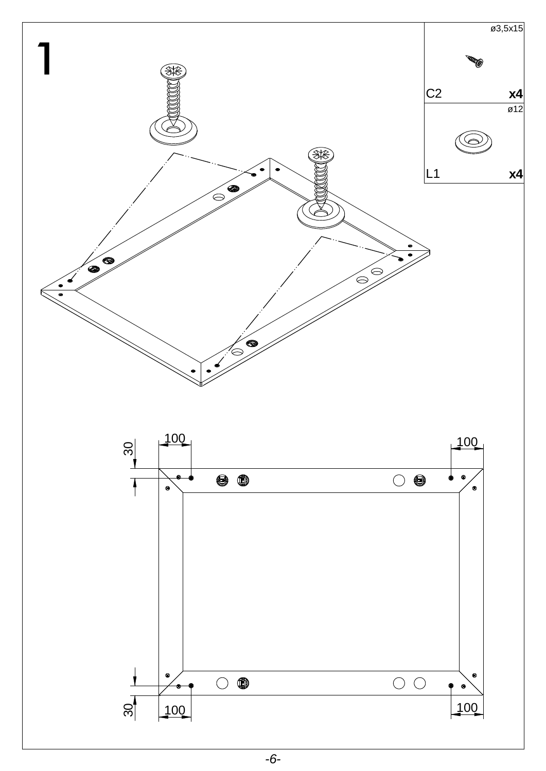



 $-6-$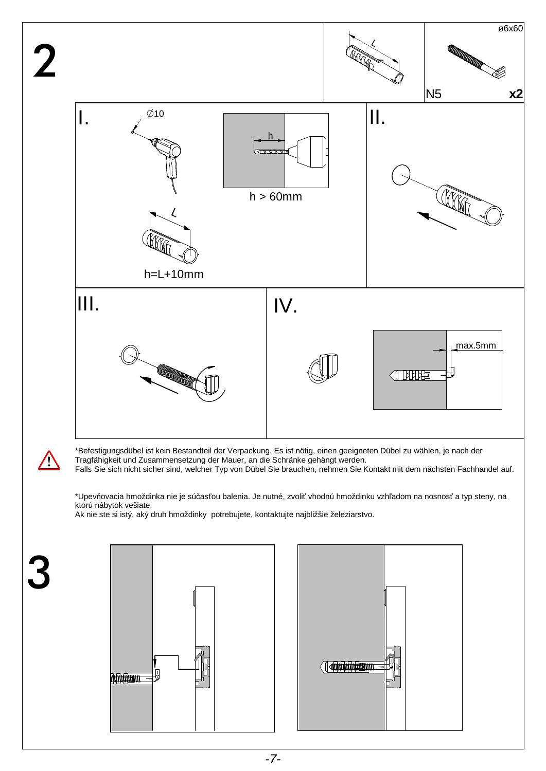



3

\*Befestigungsdübel ist kein Bestandteil der Verpackung. Es ist nötig, einen geeigneten Dübel zu wählen, je nach der Tragfähigkeit und Zusammensetzung der Mauer, an die Schränke gehängt werden.

Falls Sie sich nicht sicher sind, welcher Typ von Dübel Sie brauchen, nehmen Sie Kontakt mit dem nächsten Fachhandel auf.

\*Upevňovacia hmoždinka nie je súčasťou balenia. Je nutné, zvoliť vhodnú hmoždinku vzhľadom na nosnosť a typ steny, na ktorú nábytok vešiate.

Ak nie ste si istý, aký druh hmoždinky potrebujete, kontaktujte najbližšie železiarstvo.